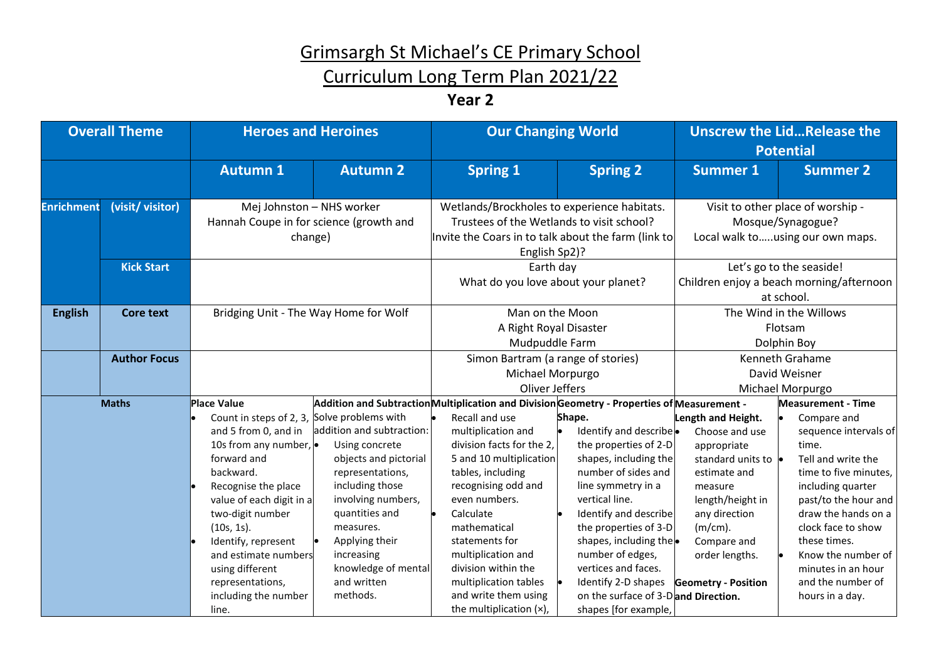## Curriculum Long Term Plan 2021/22

### **Year 2**

| <b>Overall Theme</b>                                                                                                                                                                                                                                                                                                                                                                                                                                                                                                                                                                                                                                                                                                            |                                       | <b>Heroes and Heroines</b>                                                                                                                                                                                                                                                                                                        |                                                                                                                                                                                                                                                                                                                                                              | <b>Our Changing World</b>                                                                                                                                                                                                       |                                                                                                                                                                                                                                                                                                                         | <b>Unscrew the LidRelease the</b><br><b>Potential</b>                                                                                                              |                 |
|---------------------------------------------------------------------------------------------------------------------------------------------------------------------------------------------------------------------------------------------------------------------------------------------------------------------------------------------------------------------------------------------------------------------------------------------------------------------------------------------------------------------------------------------------------------------------------------------------------------------------------------------------------------------------------------------------------------------------------|---------------------------------------|-----------------------------------------------------------------------------------------------------------------------------------------------------------------------------------------------------------------------------------------------------------------------------------------------------------------------------------|--------------------------------------------------------------------------------------------------------------------------------------------------------------------------------------------------------------------------------------------------------------------------------------------------------------------------------------------------------------|---------------------------------------------------------------------------------------------------------------------------------------------------------------------------------------------------------------------------------|-------------------------------------------------------------------------------------------------------------------------------------------------------------------------------------------------------------------------------------------------------------------------------------------------------------------------|--------------------------------------------------------------------------------------------------------------------------------------------------------------------|-----------------|
|                                                                                                                                                                                                                                                                                                                                                                                                                                                                                                                                                                                                                                                                                                                                 |                                       | <b>Autumn 1</b>                                                                                                                                                                                                                                                                                                                   | <b>Autumn 2</b>                                                                                                                                                                                                                                                                                                                                              | <b>Spring 1</b>                                                                                                                                                                                                                 | <b>Spring 2</b>                                                                                                                                                                                                                                                                                                         | <b>Summer 1</b>                                                                                                                                                    | <b>Summer 2</b> |
| <b>Enrichment</b>                                                                                                                                                                                                                                                                                                                                                                                                                                                                                                                                                                                                                                                                                                               | (visit/ visitor)<br><b>Kick Start</b> | Mej Johnston - NHS worker<br>Hannah Coupe in for science (growth and<br>change)                                                                                                                                                                                                                                                   |                                                                                                                                                                                                                                                                                                                                                              | Wetlands/Brockholes to experience habitats.<br>Trustees of the Wetlands to visit school?<br>Invite the Coars in to talk about the farm (link to<br>English Sp2)?<br>Earth day<br>What do you love about your planet?            |                                                                                                                                                                                                                                                                                                                         | Visit to other place of worship -<br>Mosque/Synagogue?<br>Local walk tousing our own maps.<br>Let's go to the seaside!<br>Children enjoy a beach morning/afternoon |                 |
| <b>English</b>                                                                                                                                                                                                                                                                                                                                                                                                                                                                                                                                                                                                                                                                                                                  | <b>Core text</b>                      | Bridging Unit - The Way Home for Wolf                                                                                                                                                                                                                                                                                             |                                                                                                                                                                                                                                                                                                                                                              | Man on the Moon<br>A Right Royal Disaster<br>Mudpuddle Farm                                                                                                                                                                     |                                                                                                                                                                                                                                                                                                                         | at school.<br>The Wind in the Willows<br>Flotsam<br>Dolphin Boy                                                                                                    |                 |
|                                                                                                                                                                                                                                                                                                                                                                                                                                                                                                                                                                                                                                                                                                                                 | <b>Author Focus</b>                   |                                                                                                                                                                                                                                                                                                                                   |                                                                                                                                                                                                                                                                                                                                                              | Simon Bartram (a range of stories)<br>Michael Morpurgo<br>Oliver Jeffers                                                                                                                                                        |                                                                                                                                                                                                                                                                                                                         | Kenneth Grahame<br>David Weisner<br>Michael Morpurgo                                                                                                               |                 |
| Addition and Subtraction Multiplication and Division Geometry - Properties of Measurement -<br><b>Maths</b><br><b>Place Value</b><br>Count in steps of 2, 3, Solve problems with<br>addition and subtraction:<br>and 5 from 0, and in<br>10s from any number, $\bullet$<br>Using concrete<br>forward and<br>objects and pictorial<br>backward.<br>representations,<br>including those<br>Recognise the place<br>value of each digit in a<br>involving numbers,<br>quantities and<br>two-digit number<br>(10s, 1s).<br>measures.<br>Identify, represent<br>Applying their<br>increasing<br>and estimate numbers<br>knowledge of mental<br>using different<br>and written<br>representations,<br>methods.<br>including the number |                                       | Recall and use<br>multiplication and<br>division facts for the 2,<br>5 and 10 multiplication<br>tables, including<br>recognising odd and<br>even numbers.<br>Calculate<br>mathematical<br>statements for<br>multiplication and<br>division within the<br>multiplication tables<br>and write them using<br>the multiplication (x), | Shape.<br>Identify and describe<br>the properties of 2-D<br>shapes, including the<br>number of sides and<br>line symmetry in a<br>vertical line.<br>Identify and describe<br>the properties of 3-D<br>shapes, including the<br>number of edges,<br>vertices and faces.<br>Identify 2-D shapes<br>on the surface of 3-Dand Direction.<br>shapes [for example, | Length and Height.<br>Choose and use<br>appropriate<br>standard units to $\bullet$<br>estimate and<br>measure<br>length/height in<br>any direction<br>$(m/cm)$ .<br>Compare and<br>order lengths.<br><b>Geometry - Position</b> | <b>Measurement - Time</b><br>Compare and<br>sequence intervals of<br>time.<br>Tell and write the<br>time to five minutes,<br>including quarter<br>past/to the hour and<br>draw the hands on a<br>clock face to show<br>these times.<br>Know the number of<br>minutes in an hour<br>and the number of<br>hours in a day. |                                                                                                                                                                    |                 |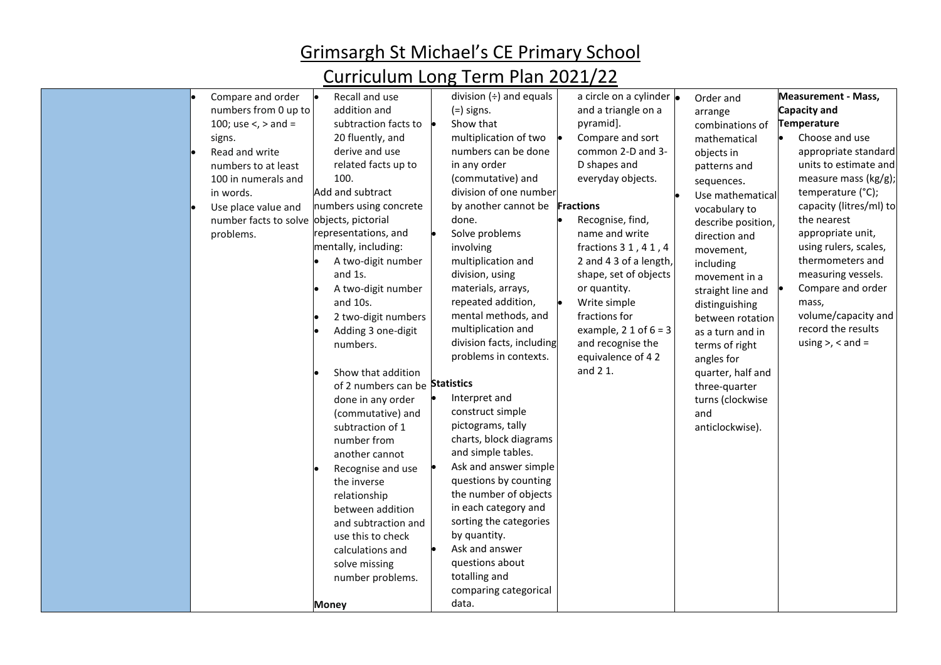| Compare and order     | Recall and use                 | division $(\div)$ and equals          | a circle on a cylinder $\bullet$ | Order and          | <b>Measurement - Mass,</b> |
|-----------------------|--------------------------------|---------------------------------------|----------------------------------|--------------------|----------------------------|
| numbers from 0 up to  | addition and                   | $(=)$ signs.                          | and a triangle on a              | arrange            | Capacity and               |
| 100; use <, > and =   | subtraction facts to           | Show that                             | pyramid].                        | combinations of    | <b>Temperature</b>         |
| signs.                | 20 fluently, and               | multiplication of two                 | Compare and sort                 | mathematical       | Choose and use             |
| Read and write        | derive and use                 | numbers can be done                   | common 2-D and 3-                | objects in         | appropriate standard       |
| numbers to at least   | related facts up to            | in any order                          | D shapes and                     | patterns and       | units to estimate and      |
| 100 in numerals and   | 100.                           | (commutative) and                     | everyday objects.                | sequences.         | measure mass (kg/g);       |
| in words.             | Add and subtract               | division of one number                |                                  | Use mathematical   | temperature (°C);          |
| Use place value and   | numbers using concrete         | by another cannot be <b>Fractions</b> |                                  | vocabulary to      | capacity (litres/ml) to    |
| number facts to solve | objects, pictorial             | done.                                 | Recognise, find,                 | describe position, | the nearest                |
| problems.             | representations, and           | Solve problems                        | name and write                   | direction and      | appropriate unit,          |
|                       | mentally, including:           | involving                             | fractions 3 1, 4 1, 4            | movement,          | using rulers, scales,      |
|                       | A two-digit number             | multiplication and                    | 2 and 4 3 of a length,           | including          | thermometers and           |
|                       | and 1s.                        | division, using                       | shape, set of objects            | movement in a      | measuring vessels.         |
|                       | A two-digit number             | materials, arrays,                    | or quantity.                     | straight line and  | Compare and order          |
|                       | and 10s.                       | repeated addition,                    | Write simple                     | distinguishing     | mass,                      |
|                       | 2 two-digit numbers            | mental methods, and                   | fractions for                    | between rotation   | volume/capacity and        |
|                       | Adding 3 one-digit             | multiplication and                    | example, $2 1$ of $6 = 3$        | as a turn and in   | record the results         |
|                       | numbers.                       | division facts, including             | and recognise the                | terms of right     | using $>$ , $<$ and $=$    |
|                       |                                | problems in contexts.                 | equivalence of 42                | angles for         |                            |
|                       | Show that addition             |                                       | and 2 1.                         | quarter, half and  |                            |
|                       | of 2 numbers can be Statistics |                                       |                                  | three-quarter      |                            |
|                       | done in any order              | Interpret and                         |                                  | turns (clockwise   |                            |
|                       | (commutative) and              | construct simple                      |                                  | and                |                            |
|                       | subtraction of 1               | pictograms, tally                     |                                  | anticlockwise).    |                            |
|                       | number from                    | charts, block diagrams                |                                  |                    |                            |
|                       | another cannot                 | and simple tables.                    |                                  |                    |                            |
|                       | Recognise and use              | Ask and answer simple                 |                                  |                    |                            |
|                       | the inverse                    | questions by counting                 |                                  |                    |                            |
|                       | relationship                   | the number of objects                 |                                  |                    |                            |
|                       | between addition               | in each category and                  |                                  |                    |                            |
|                       | and subtraction and            | sorting the categories                |                                  |                    |                            |
|                       | use this to check              | by quantity.                          |                                  |                    |                            |
|                       | calculations and               | Ask and answer                        |                                  |                    |                            |
|                       | solve missing                  | questions about                       |                                  |                    |                            |
|                       | number problems.               | totalling and                         |                                  |                    |                            |
|                       |                                | comparing categorical                 |                                  |                    |                            |
|                       | Money                          | data.                                 |                                  |                    |                            |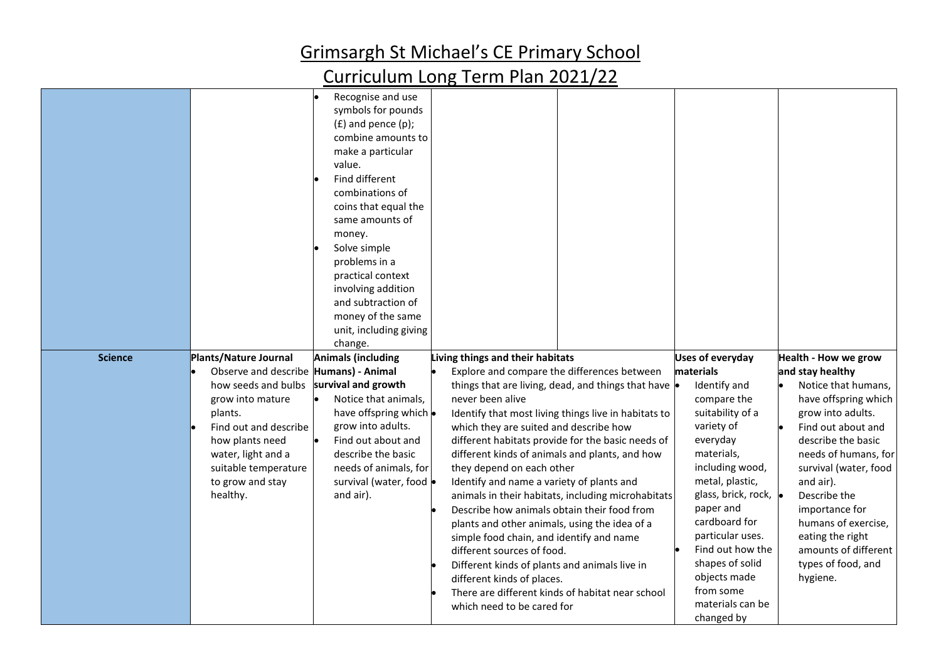| <b>Science</b> | Plants/Nature Journal                                                                                                                                                                                                 | Recognise and use<br>symbols for pounds<br>$(f)$ and pence $(p)$ ;<br>combine amounts to<br>make a particular<br>value.<br>Find different<br>combinations of<br>coins that equal the<br>same amounts of<br>money.<br>Solve simple<br>problems in a<br>practical context<br>involving addition<br>and subtraction of<br>money of the same<br>unit, including giving<br>change.<br><b>Animals (including</b> | Living things and their habitats                                                                                                                                                                                                                                                                                                                                                                                                                                                                                                                                                 |                                                                                                                                                                                                                                 | <b>Uses of everyday</b>                                                                                                                                                                                                                                                                                                   | Health - How we grow                                                                                                                                                                                                                                                                                                                  |
|----------------|-----------------------------------------------------------------------------------------------------------------------------------------------------------------------------------------------------------------------|------------------------------------------------------------------------------------------------------------------------------------------------------------------------------------------------------------------------------------------------------------------------------------------------------------------------------------------------------------------------------------------------------------|----------------------------------------------------------------------------------------------------------------------------------------------------------------------------------------------------------------------------------------------------------------------------------------------------------------------------------------------------------------------------------------------------------------------------------------------------------------------------------------------------------------------------------------------------------------------------------|---------------------------------------------------------------------------------------------------------------------------------------------------------------------------------------------------------------------------------|---------------------------------------------------------------------------------------------------------------------------------------------------------------------------------------------------------------------------------------------------------------------------------------------------------------------------|---------------------------------------------------------------------------------------------------------------------------------------------------------------------------------------------------------------------------------------------------------------------------------------------------------------------------------------|
|                | Observe and describe Humans) - Animal<br>how seeds and bulbs<br>grow into mature<br>plants.<br>Find out and describe<br>how plants need<br>water, light and a<br>suitable temperature<br>to grow and stay<br>healthy. | survival and growth<br>Notice that animals,<br>have offspring which .<br>grow into adults.<br>Find out about and<br>describe the basic<br>needs of animals, for<br>survival (water, food $\bullet$<br>and air).                                                                                                                                                                                            | Explore and compare the differences between<br>never been alive<br>which they are suited and describe how<br>different kinds of animals and plants, and how<br>they depend on each other<br>Identify and name a variety of plants and<br>Describe how animals obtain their food from<br>plants and other animals, using the idea of a<br>simple food chain, and identify and name<br>different sources of food.<br>Different kinds of plants and animals live in<br>different kinds of places.<br>There are different kinds of habitat near school<br>which need to be cared for | things that are living, dead, and things that have $\bullet$<br>Identify that most living things live in habitats to<br>different habitats provide for the basic needs of<br>animals in their habitats, including microhabitats | materials<br>Identify and<br>compare the<br>suitability of a<br>variety of<br>everyday<br>materials,<br>including wood,<br>metal, plastic,<br>glass, brick, rock,<br>paper and<br>cardboard for<br>particular uses.<br>Find out how the<br>shapes of solid<br>objects made<br>from some<br>materials can be<br>changed by | and stay healthy<br>Notice that humans,<br>have offspring which<br>grow into adults.<br>Find out about and<br>describe the basic<br>needs of humans, for<br>survival (water, food<br>and air).<br>Describe the<br>importance for<br>humans of exercise,<br>eating the right<br>amounts of different<br>types of food, and<br>hygiene. |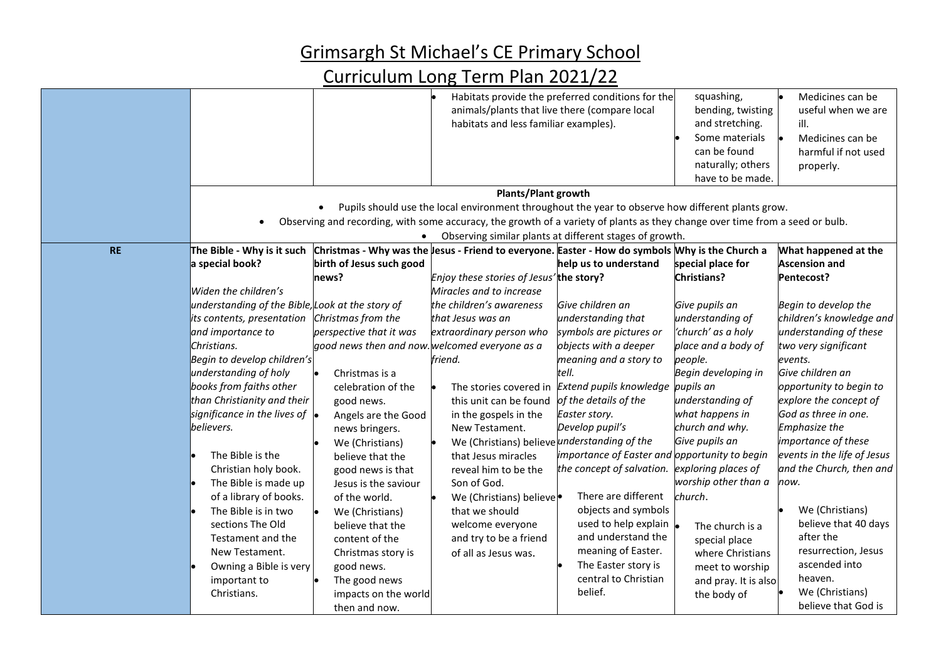|           |                                                  |                          |                                                                                                                              | Habitats provide the preferred conditions for the       | squashing,                                  | Medicines can be            |
|-----------|--------------------------------------------------|--------------------------|------------------------------------------------------------------------------------------------------------------------------|---------------------------------------------------------|---------------------------------------------|-----------------------------|
|           |                                                  |                          |                                                                                                                              | animals/plants that live there (compare local           | bending, twisting                           | useful when we are          |
|           |                                                  |                          | habitats and less familiar examples).                                                                                        |                                                         | and stretching.                             | ill.                        |
|           |                                                  |                          |                                                                                                                              |                                                         | Some materials                              | Medicines can be            |
|           |                                                  |                          |                                                                                                                              |                                                         | can be found                                | harmful if not used         |
|           |                                                  |                          |                                                                                                                              |                                                         | naturally; others                           | properly.                   |
|           |                                                  |                          |                                                                                                                              |                                                         | have to be made.                            |                             |
|           |                                                  |                          | Plants/Plant growth                                                                                                          |                                                         |                                             |                             |
|           |                                                  |                          | Pupils should use the local environment throughout the year to observe how different plants grow.                            |                                                         |                                             |                             |
|           |                                                  |                          | Observing and recording, with some accuracy, the growth of a variety of plants as they change over time from a seed or bulb. |                                                         |                                             |                             |
|           |                                                  | $\bullet$                |                                                                                                                              | Observing similar plants at different stages of growth. |                                             |                             |
| <b>RE</b> | The Bible - Why is it such                       |                          | Christmas - Why was the lesus - Friend to everyone. Easter - How do symbols Why is the Church a                              |                                                         |                                             | What happened at the        |
|           | a special book?                                  | birth of Jesus such good |                                                                                                                              | help us to understand                                   | special place for                           | <b>Ascension and</b>        |
|           |                                                  | news?                    | Enjoy these stories of Jesus'the story?                                                                                      |                                                         | <b>Christians?</b>                          | Pentecost?                  |
|           | Widen the children's                             |                          | Miracles and to increase                                                                                                     |                                                         |                                             |                             |
|           | understanding of the Bible, Look at the story of |                          | the children's awareness                                                                                                     | Give children an                                        | Give pupils an                              | Begin to develop the        |
|           | its contents, presentation                       | Christmas from the       | that Jesus was an                                                                                                            | understanding that                                      | understanding of                            | children's knowledge and    |
|           | and importance to                                | perspective that it was  | extraordinary person who                                                                                                     | symbols are pictures or                                 | 'church' as a holy                          | understanding of these      |
|           | Christians.                                      |                          | good news then and now. welcomed everyone as a                                                                               | objects with a deeper                                   | place and a body of                         | two very significant        |
|           | Begin to develop children's                      |                          | friend.                                                                                                                      | meaning and a story to                                  | people.                                     | events.                     |
|           | understanding of holy                            | Christmas is a           |                                                                                                                              | tell.                                                   | Begin developing in                         | Give children an            |
|           | books from faiths other                          | celebration of the       | The stories covered in                                                                                                       | Extend pupils knowledge                                 | pupils an                                   | opportunity to begin to     |
|           | than Christianity and their                      | good news.               | this unit can be found                                                                                                       | of the details of the                                   | understanding of                            | explore the concept of      |
|           | significance in the lives of $\bullet$           | Angels are the Good      | in the gospels in the                                                                                                        | Easter story.                                           | what happens in                             | God as three in one.        |
|           | believers.                                       |                          | New Testament.                                                                                                               | Develop pupil's                                         | church and why.                             | <b>Emphasize the</b>        |
|           |                                                  | news bringers.           | We (Christians) believe understanding of the                                                                                 |                                                         | Give pupils an                              | importance of these         |
|           |                                                  | We (Christians)          |                                                                                                                              | importance of Easter and                                | opportunity to begin                        | events in the life of Jesus |
|           | The Bible is the                                 | believe that the         | that Jesus miracles                                                                                                          |                                                         |                                             |                             |
|           | Christian holy book.                             | good news is that        | reveal him to be the                                                                                                         | the concept of salvation.                               | exploring places of<br>worship other than a | and the Church, then and    |
|           | The Bible is made up                             | Jesus is the saviour     | Son of God.                                                                                                                  |                                                         |                                             | now.                        |
|           | of a library of books.                           | of the world.            | We (Christians) believe                                                                                                      | There are different                                     | church.                                     |                             |
|           | The Bible is in two                              | We (Christians)          | that we should                                                                                                               | objects and symbols                                     |                                             | We (Christians)             |
|           | sections The Old                                 | believe that the         | welcome everyone                                                                                                             | used to help explain                                    | The church is a                             | believe that 40 days        |
|           | Testament and the                                | content of the           | and try to be a friend                                                                                                       | and understand the                                      | special place                               | after the                   |
|           | New Testament.                                   | Christmas story is       | of all as Jesus was.                                                                                                         | meaning of Easter.                                      | where Christians                            | resurrection, Jesus         |
|           | Owning a Bible is very                           | good news.               |                                                                                                                              | The Easter story is                                     | meet to worship                             | ascended into               |
|           | important to                                     | The good news            |                                                                                                                              | central to Christian                                    | and pray. It is also                        | heaven.                     |
|           | Christians.                                      | impacts on the world     |                                                                                                                              | belief.                                                 | the body of                                 | We (Christians)             |
|           |                                                  | then and now.            |                                                                                                                              |                                                         |                                             | believe that God is         |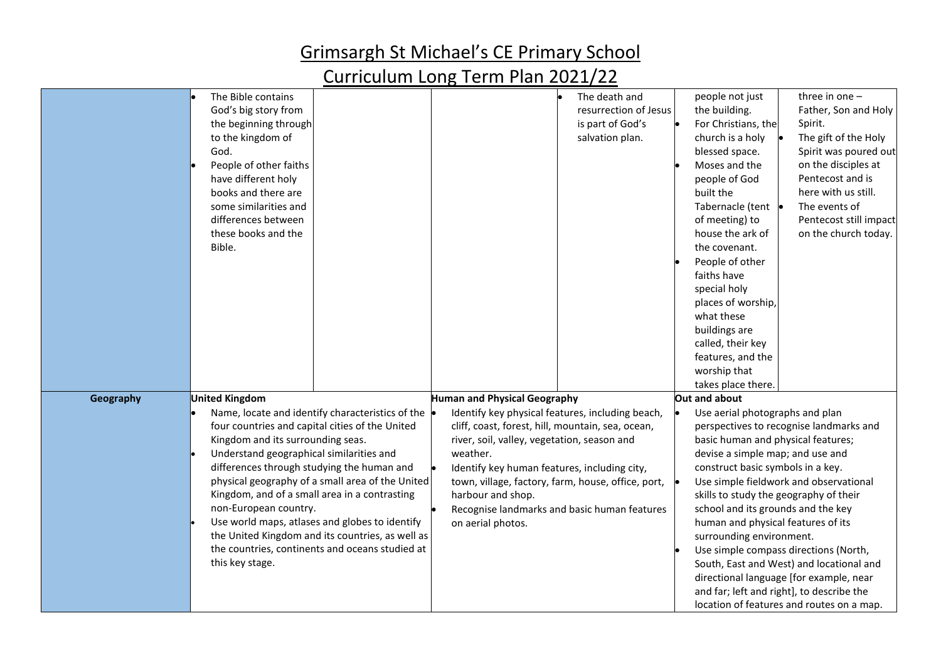|           |                                                  |                                                    | people not just                           |
|-----------|--------------------------------------------------|----------------------------------------------------|-------------------------------------------|
|           | The Bible contains                               | The death and                                      | three in one $-$                          |
|           | God's big story from                             | resurrection of Jesus                              | the building.<br>Father, Son and Holy     |
|           | the beginning through                            | is part of God's                                   | For Christians, the<br>Spirit.            |
|           | to the kingdom of                                | salvation plan.                                    | The gift of the Holy<br>church is a holy  |
|           | God.                                             |                                                    | Spirit was poured out<br>blessed space.   |
|           | People of other faiths                           |                                                    | on the disciples at<br>Moses and the      |
|           | have different holy                              |                                                    | Pentecost and is<br>people of God         |
|           | books and there are                              |                                                    | here with us still.<br>built the          |
|           | some similarities and                            |                                                    | Tabernacle (tent •<br>The events of       |
|           | differences between                              |                                                    | of meeting) to<br>Pentecost still impact  |
|           | these books and the                              |                                                    | house the ark of<br>on the church today.  |
|           | Bible.                                           |                                                    | the covenant.                             |
|           |                                                  |                                                    | People of other                           |
|           |                                                  |                                                    | faiths have                               |
|           |                                                  |                                                    | special holy                              |
|           |                                                  |                                                    | places of worship,                        |
|           |                                                  |                                                    | what these                                |
|           |                                                  |                                                    | buildings are                             |
|           |                                                  |                                                    | called, their key                         |
|           |                                                  |                                                    | features, and the                         |
|           |                                                  |                                                    | worship that                              |
|           |                                                  |                                                    | takes place there.                        |
| Geography | <b>United Kingdom</b>                            | Human and Physical Geography                       | Out and about                             |
|           | Name, locate and identify characteristics of the | Identify key physical features, including beach,   | Use aerial photographs and plan           |
|           | four countries and capital cities of the United  | cliff, coast, forest, hill, mountain, sea, ocean,  | perspectives to recognise landmarks and   |
|           | Kingdom and its surrounding seas.                | river, soil, valley, vegetation, season and        | basic human and physical features;        |
|           | Understand geographical similarities and         | weather.                                           | devise a simple map; and use and          |
|           | differences through studying the human and       | Identify key human features, including city,       | construct basic symbols in a key.         |
|           | physical geography of a small area of the United | town, village, factory, farm, house, office, port, | Use simple fieldwork and observational    |
|           | Kingdom, and of a small area in a contrasting    | harbour and shop.                                  | skills to study the geography of their    |
|           | non-European country.                            | Recognise landmarks and basic human features       | school and its grounds and the key        |
|           | Use world maps, atlases and globes to identify   | on aerial photos.                                  | human and physical features of its        |
|           | the United Kingdom and its countries, as well as |                                                    | surrounding environment.                  |
|           | the countries, continents and oceans studied at  |                                                    | Use simple compass directions (North,     |
|           | this key stage.                                  |                                                    | South, East and West) and locational and  |
|           |                                                  |                                                    | directional language [for example, near   |
|           |                                                  |                                                    | and far; left and right], to describe the |
|           |                                                  |                                                    |                                           |
|           |                                                  |                                                    | location of features and routes on a map. |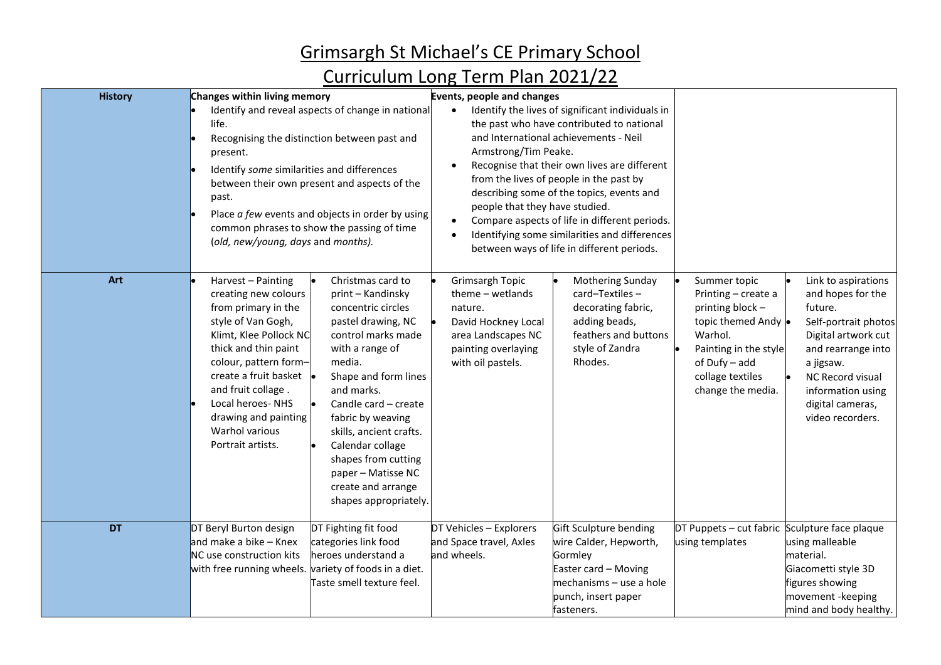| <b>History</b> | Changes within living memory                                                                                                                                                                                                                                                                           |                                                                                                                                                                                                                                                                                                                                                                     | Events, people and changes                                                                                                                |                                                                                                                                                                                                                                                                                                                                                                                                                                |                                                                                                                                                                              |                                                                                                                                                                                                                        |
|----------------|--------------------------------------------------------------------------------------------------------------------------------------------------------------------------------------------------------------------------------------------------------------------------------------------------------|---------------------------------------------------------------------------------------------------------------------------------------------------------------------------------------------------------------------------------------------------------------------------------------------------------------------------------------------------------------------|-------------------------------------------------------------------------------------------------------------------------------------------|--------------------------------------------------------------------------------------------------------------------------------------------------------------------------------------------------------------------------------------------------------------------------------------------------------------------------------------------------------------------------------------------------------------------------------|------------------------------------------------------------------------------------------------------------------------------------------------------------------------------|------------------------------------------------------------------------------------------------------------------------------------------------------------------------------------------------------------------------|
|                | life.<br>present.<br>Identify some similarities and differences<br>past.<br>(old, new/young, days and months).                                                                                                                                                                                         | Identify and reveal aspects of change in national<br>Recognising the distinction between past and<br>between their own present and aspects of the<br>Place a few events and objects in order by using<br>common phrases to show the passing of time                                                                                                                 | $\bullet$<br>Armstrong/Tim Peake.<br>people that they have studied.                                                                       | Identify the lives of significant individuals in<br>the past who have contributed to national<br>and International achievements - Neil<br>Recognise that their own lives are different<br>from the lives of people in the past by<br>describing some of the topics, events and<br>Compare aspects of life in different periods.<br>Identifying some similarities and differences<br>between ways of life in different periods. |                                                                                                                                                                              |                                                                                                                                                                                                                        |
| Art            | Harvest - Painting<br>creating new colours<br>from primary in the<br>style of Van Gogh,<br>Klimt, Klee Pollock NC<br>thick and thin paint<br>colour, pattern form-<br>create a fruit basket .<br>and fruit collage.<br>Local heroes-NHS<br>drawing and painting<br>Warhol various<br>Portrait artists. | Christmas card to<br>print - Kandinsky<br>concentric circles<br>pastel drawing, NC<br>control marks made<br>with a range of<br>media.<br>Shape and form lines<br>and marks.<br>Candle card - create<br>fabric by weaving<br>skills, ancient crafts.<br>Calendar collage<br>shapes from cutting<br>paper - Matisse NC<br>create and arrange<br>shapes appropriately. | Grimsargh Topic<br>$theme - wetlands$<br>nature.<br>David Hockney Local<br>area Landscapes NC<br>painting overlaying<br>with oil pastels. | Mothering Sunday<br>card-Textiles-<br>decorating fabric,<br>adding beads,<br>feathers and buttons<br>style of Zandra<br>Rhodes.                                                                                                                                                                                                                                                                                                | Summer topic<br>Printing - create a<br>printing block -<br>topic themed Andy .<br>Warhol.<br>Painting in the style<br>of Dufy - add<br>collage textiles<br>change the media. | Link to aspirations<br>and hopes for the<br>future.<br>Self-portrait photos<br>Digital artwork cut<br>and rearrange into<br>a jigsaw.<br>NC Record visual<br>information using<br>digital cameras,<br>video recorders. |
| DT             | DT Beryl Burton design<br>and make a bike - Knex<br>NC use construction kits<br>with free running wheels.                                                                                                                                                                                              | DT Fighting fit food<br>categories link food<br>heroes understand a<br>variety of foods in a diet.<br>Taste smell texture feel.                                                                                                                                                                                                                                     | DT Vehicles - Explorers<br>and Space travel, Axles<br>and wheels.                                                                         | Gift Sculpture bending<br>wire Calder, Hepworth,<br>Gormley<br>Easter card - Moving<br>mechanisms - use a hole<br>punch, insert paper<br>fasteners.                                                                                                                                                                                                                                                                            | DT Puppets - cut fabric Sculpture face plaque<br>using templates                                                                                                             | using malleable<br>material.<br>Giacometti style 3D<br>figures showing<br>movement -keeping<br>mind and body healthy.                                                                                                  |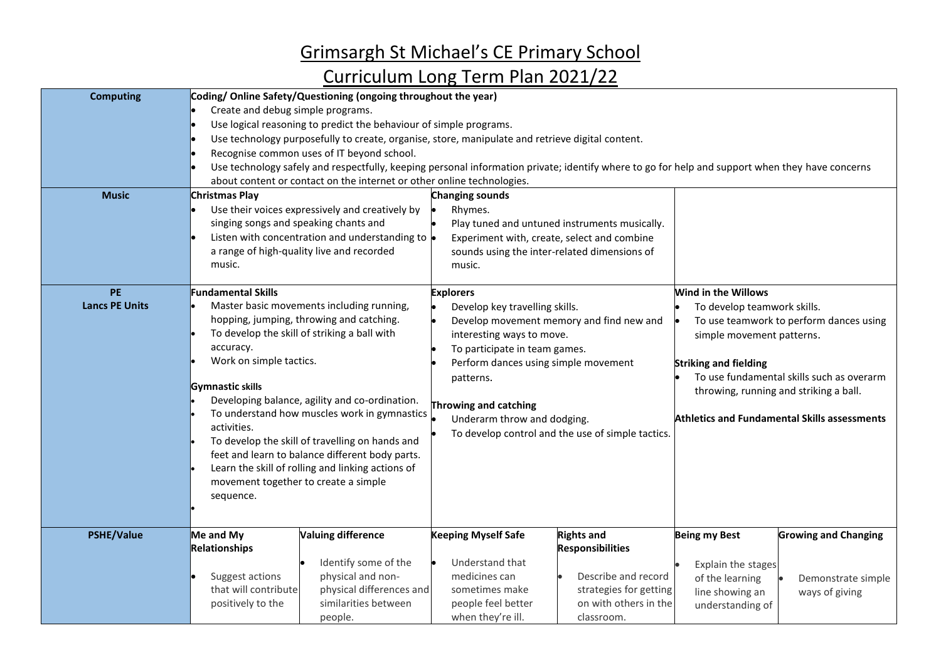| <b>Computing</b><br><b>Music</b>   | Coding/Online Safety/Questioning (ongoing throughout the year)<br>Create and debug simple programs.<br>Use logical reasoning to predict the behaviour of simple programs.<br>Use technology purposefully to create, organise, store, manipulate and retrieve digital content.<br>Recognise common uses of IT beyond school.<br>Use technology safely and respectfully, keeping personal information private; identify where to go for help and support when they have concerns<br>about content or contact on the internet or other online technologies.<br><b>Christmas Play</b><br>Changing sounds |                                                                                                                                                          |                                                                                                                                                                                                                                                                                                                                |                                                                                                                                      |                                                                                                                                                                                                                                                                                                   |                                                                     |
|------------------------------------|------------------------------------------------------------------------------------------------------------------------------------------------------------------------------------------------------------------------------------------------------------------------------------------------------------------------------------------------------------------------------------------------------------------------------------------------------------------------------------------------------------------------------------------------------------------------------------------------------|----------------------------------------------------------------------------------------------------------------------------------------------------------|--------------------------------------------------------------------------------------------------------------------------------------------------------------------------------------------------------------------------------------------------------------------------------------------------------------------------------|--------------------------------------------------------------------------------------------------------------------------------------|---------------------------------------------------------------------------------------------------------------------------------------------------------------------------------------------------------------------------------------------------------------------------------------------------|---------------------------------------------------------------------|
|                                    | singing songs and speaking chants and<br>music.                                                                                                                                                                                                                                                                                                                                                                                                                                                                                                                                                      | Use their voices expressively and creatively by<br>Listen with concentration and understanding to $\bullet$<br>a range of high-quality live and recorded | Rhymes.<br>Experiment with, create, select and combine<br>sounds using the inter-related dimensions of<br>music.                                                                                                                                                                                                               | Play tuned and untuned instruments musically.                                                                                        |                                                                                                                                                                                                                                                                                                   |                                                                     |
| <b>PE</b><br><b>Lancs PE Units</b> | <b>Fundamental Skills</b><br>Master basic movements including running,<br>hopping, jumping, throwing and catching.<br>To develop the skill of striking a ball with<br>accuracy.<br>Work on simple tactics.<br>Gymnastic skills<br>Developing balance, agility and co-ordination.<br>To understand how muscles work in gymnastics<br>activities.<br>To develop the skill of travelling on hands and<br>feet and learn to balance different body parts.<br>Learn the skill of rolling and linking actions of<br>movement together to create a simple<br>sequence.                                      |                                                                                                                                                          | <b>Explorers</b><br>Develop key travelling skills.<br>Develop movement memory and find new and<br>interesting ways to move.<br>To participate in team games.<br>Perform dances using simple movement<br>patterns.<br>Throwing and catching<br>Underarm throw and dodging.<br>To develop control and the use of simple tactics. |                                                                                                                                      | Wind in the Willows<br>To develop teamwork skills.<br>To use teamwork to perform dances using<br>simple movement patterns.<br><b>Striking and fielding</b><br>To use fundamental skills such as overarm<br>throwing, running and striking a ball.<br>Athletics and Fundamental Skills assessments |                                                                     |
| <b>PSHE/Value</b>                  | Me and My<br>Relationships<br>Suggest actions<br>that will contribute<br>positively to the                                                                                                                                                                                                                                                                                                                                                                                                                                                                                                           | <b>Valuing difference</b><br>Identify some of the<br>physical and non-<br>physical differences and<br>similarities between<br>people.                    | <b>Keeping Myself Safe</b><br>Understand that<br>medicines can<br>sometimes make<br>people feel better<br>when they're ill.                                                                                                                                                                                                    | <b>Rights and</b><br><b>Responsibilities</b><br>Describe and record<br>strategies for getting<br>on with others in the<br>classroom. | <b>Being my Best</b><br>Explain the stages<br>of the learning<br>line showing an<br>understanding of                                                                                                                                                                                              | <b>Growing and Changing</b><br>Demonstrate simple<br>ways of giving |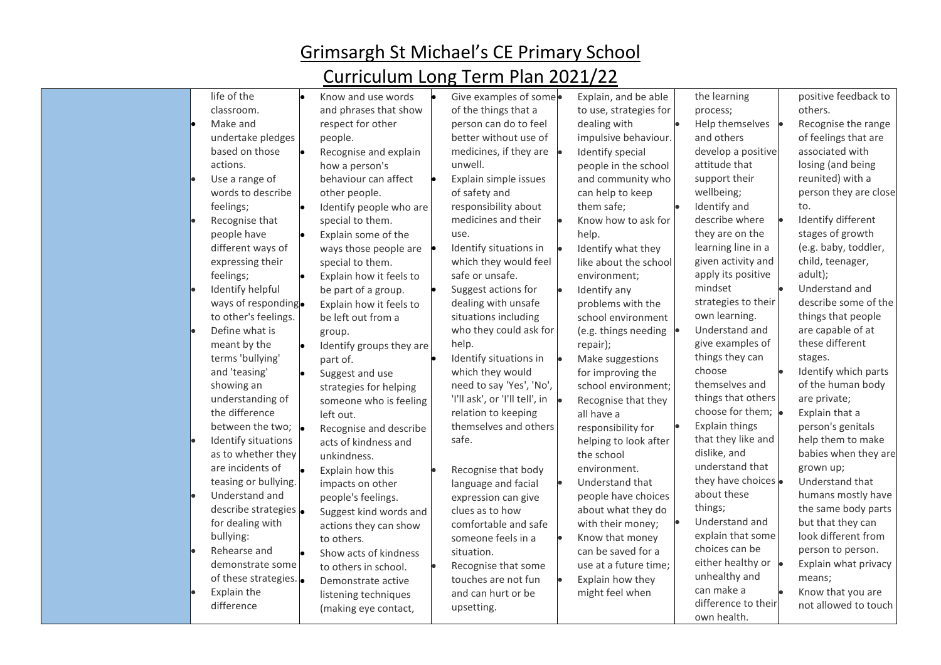| life of the<br>classroom.<br>Make and<br>respect for other<br>people.<br>undertake pledges<br>based on those<br>actions.<br>how a person's<br>Use a range of<br>words to describe<br>other people.<br>feelings;<br>Recognise that<br>special to them.<br>people have<br>Explain some of the<br>different ways of<br>expressing their<br>special to them.<br>feelings;<br>Identify helpful<br>be part of a group.<br>ways of responding.<br>to other's feelings.<br>be left out from a<br>Define what is<br>group.<br>meant by the<br>terms 'bullying'<br>part of.<br>and 'teasing'<br>Suggest and use<br>showing an<br>understanding of<br>the difference<br>left out.<br>between the two; $\vert$<br>Identify situations<br>acts of kindness and<br>as to whether they<br>unkindness.<br>are incidents of<br>Explain how this<br>teasing or bullying.<br>impacts on other<br>Understand and<br>people's feelings.<br>describe strategies .<br>for dealing with<br>bullying:<br>to others.<br>Rehearse and<br>demonstrate some<br>to others in school. | Give examples of some.<br>Know and use words<br>and phrases that show<br>of the things that a<br>person can do to feel<br>better without use of<br>medicines, if they are<br>Recognise and explain<br>unwell.<br>behaviour can affect<br>Explain simple issues<br>of safety and<br>responsibility about<br>Identify people who are<br>medicines and their<br>use.<br>Identify situations in<br>ways those people are<br>which they would feel<br>safe or unsafe.<br>Explain how it feels to<br>Suggest actions for<br>dealing with unsafe<br>Explain how it feels to<br>situations including<br>who they could ask for<br>help.<br>Identify groups they are<br>Identify situations in<br>which they would<br>need to say 'Yes', 'No',<br>strategies for helping<br>'I'll ask', or 'I'll tell', in<br>someone who is feeling<br>relation to keeping<br>themselves and others<br>Recognise and describe<br>safe.<br>Recognise that body<br>language and facial<br>expression can give<br>clues as to how<br>Suggest kind words and<br>comfortable and safe<br>actions they can show<br>someone feels in a<br>situation.<br>Show acts of kindness<br>Recognise that some | Explain, and be able<br>to use, strategies for<br>dealing with<br>impulsive behaviour.<br>Identify special<br>people in the school<br>and community who<br>can help to keep<br>them safe;<br>Know how to ask for<br>help.<br>Identify what they<br>like about the school<br>environment;<br>Identify any<br>problems with the<br>school environment<br>(e.g. things needing<br>repair);<br>Make suggestions<br>for improving the<br>school environment;<br>Recognise that they<br>all have a<br>responsibility for<br>helping to look after<br>the school<br>environment.<br>Understand that<br>people have choices<br>about what they do<br>with their money;<br>Know that money<br>can be saved for a<br>use at a future time; | the learning<br>process;<br>Help themselves<br>and others<br>develop a positive<br>attitude that<br>support their<br>wellbeing;<br>Identify and<br>describe where<br>they are on the<br>learning line in a<br>given activity and<br>apply its positive<br>mindset<br>strategies to their<br>own learning.<br>Understand and<br>give examples of<br>things they can<br>choose<br>themselves and<br>things that others<br>choose for them; .<br>Explain things<br>that they like and<br>dislike, and<br>understand that<br>they have choices .<br>about these<br>things;<br>Understand and<br>explain that some<br>choices can be<br>either healthy or $\bullet$ | positive feedback to<br>others.<br>Recognise the range<br>of feelings that are<br>associated with<br>losing (and being<br>reunited) with a<br>person they are close<br>to.<br>Identify different<br>stages of growth<br>(e.g. baby, toddler,<br>child, teenager,<br>adult);<br>Understand and<br>describe some of the<br>things that people<br>are capable of at<br>these different<br>stages.<br>Identify which parts<br>of the human body<br>are private;<br>Explain that a<br>person's genitals<br>help them to make<br>babies when they are<br>grown up;<br>Understand that<br>humans mostly have<br>the same body parts<br>but that they can<br>look different from<br>person to person.<br>Explain what privacy |
|--------------------------------------------------------------------------------------------------------------------------------------------------------------------------------------------------------------------------------------------------------------------------------------------------------------------------------------------------------------------------------------------------------------------------------------------------------------------------------------------------------------------------------------------------------------------------------------------------------------------------------------------------------------------------------------------------------------------------------------------------------------------------------------------------------------------------------------------------------------------------------------------------------------------------------------------------------------------------------------------------------------------------------------------------------|-----------------------------------------------------------------------------------------------------------------------------------------------------------------------------------------------------------------------------------------------------------------------------------------------------------------------------------------------------------------------------------------------------------------------------------------------------------------------------------------------------------------------------------------------------------------------------------------------------------------------------------------------------------------------------------------------------------------------------------------------------------------------------------------------------------------------------------------------------------------------------------------------------------------------------------------------------------------------------------------------------------------------------------------------------------------------------------------------------------------------------------------------------------------------|----------------------------------------------------------------------------------------------------------------------------------------------------------------------------------------------------------------------------------------------------------------------------------------------------------------------------------------------------------------------------------------------------------------------------------------------------------------------------------------------------------------------------------------------------------------------------------------------------------------------------------------------------------------------------------------------------------------------------------|----------------------------------------------------------------------------------------------------------------------------------------------------------------------------------------------------------------------------------------------------------------------------------------------------------------------------------------------------------------------------------------------------------------------------------------------------------------------------------------------------------------------------------------------------------------------------------------------------------------------------------------------------------------|-----------------------------------------------------------------------------------------------------------------------------------------------------------------------------------------------------------------------------------------------------------------------------------------------------------------------------------------------------------------------------------------------------------------------------------------------------------------------------------------------------------------------------------------------------------------------------------------------------------------------------------------------------------------------------------------------------------------------|
| of these strategies.<br>Demonstrate active<br>Explain the<br>listening techniques<br>difference                                                                                                                                                                                                                                                                                                                                                                                                                                                                                                                                                                                                                                                                                                                                                                                                                                                                                                                                                        | touches are not fun<br>and can hurt or be<br>upsetting.<br>(making eye contact,                                                                                                                                                                                                                                                                                                                                                                                                                                                                                                                                                                                                                                                                                                                                                                                                                                                                                                                                                                                                                                                                                       | Explain how they<br>might feel when                                                                                                                                                                                                                                                                                                                                                                                                                                                                                                                                                                                                                                                                                              | unhealthy and<br>can make a<br>difference to their<br>own health.                                                                                                                                                                                                                                                                                                                                                                                                                                                                                                                                                                                              | means;<br>Know that you are<br>not allowed to touch                                                                                                                                                                                                                                                                                                                                                                                                                                                                                                                                                                                                                                                                   |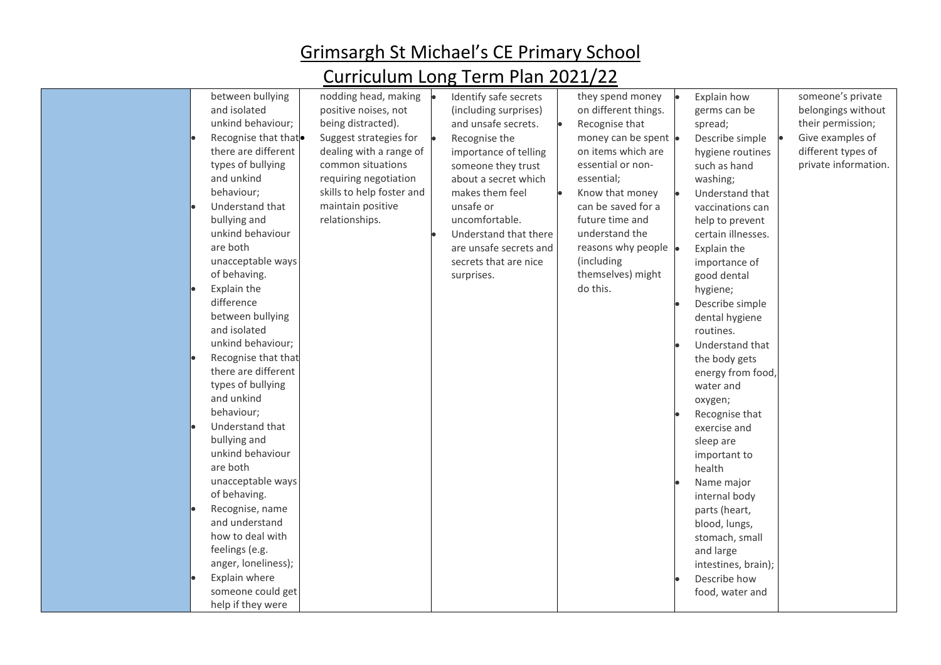| between bullying<br>and isolated<br>unkind behaviour;<br>Recognise that that <sup>o</sup><br>there are different<br>types of bullying<br>and unkind<br>behaviour;<br>Understand that<br>bullying and<br>unkind behaviour<br>are both<br>unacceptable ways<br>of behaving.<br>Explain the<br>difference<br>between bullying<br>and isolated<br>unkind behaviour;<br>Recognise that that<br>there are different<br>types of bullying<br>and unkind<br>behaviour;<br>Understand that<br>bullying and | nodding head, making<br>positive noises, not<br>being distracted).<br>Suggest strategies for<br>dealing with a range of<br>common situations<br>requiring negotiation<br>skills to help foster and<br>maintain positive<br>relationships. | Identify safe secrets<br>(including surprises)<br>and unsafe secrets.<br>Recognise the<br>importance of telling<br>someone they trust<br>about a secret which<br>makes them feel<br>unsafe or<br>uncomfortable.<br>Understand that there<br>are unsafe secrets and<br>secrets that are nice<br>surprises. | they spend money<br>on different things.<br>Recognise that<br>money can be spent .<br>on items which are<br>essential or non-<br>essential;<br>Know that money<br>can be saved for a<br>future time and<br>understand the<br>reasons why people<br>(including<br>themselves) might<br>do this. | Explain how<br>germs can be<br>spread;<br>Describe simple<br>hygiene routines<br>such as hand<br>washing;<br>Understand that<br>vaccinations can<br>help to prevent<br>certain illnesses.<br>Explain the<br>importance of<br>good dental<br>hygiene;<br>Describe simple<br>dental hygiene<br>routines.<br>Understand that<br>the body gets<br>energy from food,<br>water and<br>oxygen;<br>Recognise that<br>exercise and<br>sleep are | someone's private<br>belongings without<br>their permission;<br>Give examples of<br>different types of<br>private information. |
|---------------------------------------------------------------------------------------------------------------------------------------------------------------------------------------------------------------------------------------------------------------------------------------------------------------------------------------------------------------------------------------------------------------------------------------------------------------------------------------------------|-------------------------------------------------------------------------------------------------------------------------------------------------------------------------------------------------------------------------------------------|-----------------------------------------------------------------------------------------------------------------------------------------------------------------------------------------------------------------------------------------------------------------------------------------------------------|------------------------------------------------------------------------------------------------------------------------------------------------------------------------------------------------------------------------------------------------------------------------------------------------|----------------------------------------------------------------------------------------------------------------------------------------------------------------------------------------------------------------------------------------------------------------------------------------------------------------------------------------------------------------------------------------------------------------------------------------|--------------------------------------------------------------------------------------------------------------------------------|
|                                                                                                                                                                                                                                                                                                                                                                                                                                                                                                   |                                                                                                                                                                                                                                           |                                                                                                                                                                                                                                                                                                           |                                                                                                                                                                                                                                                                                                |                                                                                                                                                                                                                                                                                                                                                                                                                                        |                                                                                                                                |
|                                                                                                                                                                                                                                                                                                                                                                                                                                                                                                   |                                                                                                                                                                                                                                           |                                                                                                                                                                                                                                                                                                           |                                                                                                                                                                                                                                                                                                |                                                                                                                                                                                                                                                                                                                                                                                                                                        |                                                                                                                                |
|                                                                                                                                                                                                                                                                                                                                                                                                                                                                                                   |                                                                                                                                                                                                                                           |                                                                                                                                                                                                                                                                                                           |                                                                                                                                                                                                                                                                                                |                                                                                                                                                                                                                                                                                                                                                                                                                                        |                                                                                                                                |
|                                                                                                                                                                                                                                                                                                                                                                                                                                                                                                   |                                                                                                                                                                                                                                           |                                                                                                                                                                                                                                                                                                           |                                                                                                                                                                                                                                                                                                |                                                                                                                                                                                                                                                                                                                                                                                                                                        |                                                                                                                                |
|                                                                                                                                                                                                                                                                                                                                                                                                                                                                                                   |                                                                                                                                                                                                                                           |                                                                                                                                                                                                                                                                                                           |                                                                                                                                                                                                                                                                                                |                                                                                                                                                                                                                                                                                                                                                                                                                                        |                                                                                                                                |
|                                                                                                                                                                                                                                                                                                                                                                                                                                                                                                   |                                                                                                                                                                                                                                           |                                                                                                                                                                                                                                                                                                           |                                                                                                                                                                                                                                                                                                |                                                                                                                                                                                                                                                                                                                                                                                                                                        |                                                                                                                                |
|                                                                                                                                                                                                                                                                                                                                                                                                                                                                                                   |                                                                                                                                                                                                                                           |                                                                                                                                                                                                                                                                                                           |                                                                                                                                                                                                                                                                                                |                                                                                                                                                                                                                                                                                                                                                                                                                                        |                                                                                                                                |
|                                                                                                                                                                                                                                                                                                                                                                                                                                                                                                   |                                                                                                                                                                                                                                           |                                                                                                                                                                                                                                                                                                           |                                                                                                                                                                                                                                                                                                |                                                                                                                                                                                                                                                                                                                                                                                                                                        |                                                                                                                                |
|                                                                                                                                                                                                                                                                                                                                                                                                                                                                                                   |                                                                                                                                                                                                                                           |                                                                                                                                                                                                                                                                                                           |                                                                                                                                                                                                                                                                                                |                                                                                                                                                                                                                                                                                                                                                                                                                                        |                                                                                                                                |
|                                                                                                                                                                                                                                                                                                                                                                                                                                                                                                   |                                                                                                                                                                                                                                           |                                                                                                                                                                                                                                                                                                           |                                                                                                                                                                                                                                                                                                |                                                                                                                                                                                                                                                                                                                                                                                                                                        |                                                                                                                                |
|                                                                                                                                                                                                                                                                                                                                                                                                                                                                                                   |                                                                                                                                                                                                                                           |                                                                                                                                                                                                                                                                                                           |                                                                                                                                                                                                                                                                                                |                                                                                                                                                                                                                                                                                                                                                                                                                                        |                                                                                                                                |
|                                                                                                                                                                                                                                                                                                                                                                                                                                                                                                   |                                                                                                                                                                                                                                           |                                                                                                                                                                                                                                                                                                           |                                                                                                                                                                                                                                                                                                |                                                                                                                                                                                                                                                                                                                                                                                                                                        |                                                                                                                                |
|                                                                                                                                                                                                                                                                                                                                                                                                                                                                                                   |                                                                                                                                                                                                                                           |                                                                                                                                                                                                                                                                                                           |                                                                                                                                                                                                                                                                                                |                                                                                                                                                                                                                                                                                                                                                                                                                                        |                                                                                                                                |
| unkind behaviour                                                                                                                                                                                                                                                                                                                                                                                                                                                                                  |                                                                                                                                                                                                                                           |                                                                                                                                                                                                                                                                                                           |                                                                                                                                                                                                                                                                                                |                                                                                                                                                                                                                                                                                                                                                                                                                                        |                                                                                                                                |
| are both                                                                                                                                                                                                                                                                                                                                                                                                                                                                                          |                                                                                                                                                                                                                                           |                                                                                                                                                                                                                                                                                                           |                                                                                                                                                                                                                                                                                                | important to<br>health                                                                                                                                                                                                                                                                                                                                                                                                                 |                                                                                                                                |
| unacceptable ways                                                                                                                                                                                                                                                                                                                                                                                                                                                                                 |                                                                                                                                                                                                                                           |                                                                                                                                                                                                                                                                                                           |                                                                                                                                                                                                                                                                                                | Name major                                                                                                                                                                                                                                                                                                                                                                                                                             |                                                                                                                                |
| of behaving.                                                                                                                                                                                                                                                                                                                                                                                                                                                                                      |                                                                                                                                                                                                                                           |                                                                                                                                                                                                                                                                                                           |                                                                                                                                                                                                                                                                                                | internal body                                                                                                                                                                                                                                                                                                                                                                                                                          |                                                                                                                                |
| Recognise, name                                                                                                                                                                                                                                                                                                                                                                                                                                                                                   |                                                                                                                                                                                                                                           |                                                                                                                                                                                                                                                                                                           |                                                                                                                                                                                                                                                                                                | parts (heart,                                                                                                                                                                                                                                                                                                                                                                                                                          |                                                                                                                                |
| and understand                                                                                                                                                                                                                                                                                                                                                                                                                                                                                    |                                                                                                                                                                                                                                           |                                                                                                                                                                                                                                                                                                           |                                                                                                                                                                                                                                                                                                | blood, lungs,                                                                                                                                                                                                                                                                                                                                                                                                                          |                                                                                                                                |
| how to deal with                                                                                                                                                                                                                                                                                                                                                                                                                                                                                  |                                                                                                                                                                                                                                           |                                                                                                                                                                                                                                                                                                           |                                                                                                                                                                                                                                                                                                | stomach, small                                                                                                                                                                                                                                                                                                                                                                                                                         |                                                                                                                                |
| feelings (e.g.                                                                                                                                                                                                                                                                                                                                                                                                                                                                                    |                                                                                                                                                                                                                                           |                                                                                                                                                                                                                                                                                                           |                                                                                                                                                                                                                                                                                                | and large                                                                                                                                                                                                                                                                                                                                                                                                                              |                                                                                                                                |
| anger, loneliness);                                                                                                                                                                                                                                                                                                                                                                                                                                                                               |                                                                                                                                                                                                                                           |                                                                                                                                                                                                                                                                                                           |                                                                                                                                                                                                                                                                                                | intestines, brain);                                                                                                                                                                                                                                                                                                                                                                                                                    |                                                                                                                                |
| Explain where                                                                                                                                                                                                                                                                                                                                                                                                                                                                                     |                                                                                                                                                                                                                                           |                                                                                                                                                                                                                                                                                                           |                                                                                                                                                                                                                                                                                                | Describe how                                                                                                                                                                                                                                                                                                                                                                                                                           |                                                                                                                                |
| someone could get                                                                                                                                                                                                                                                                                                                                                                                                                                                                                 |                                                                                                                                                                                                                                           |                                                                                                                                                                                                                                                                                                           |                                                                                                                                                                                                                                                                                                | food, water and                                                                                                                                                                                                                                                                                                                                                                                                                        |                                                                                                                                |
| help if they were                                                                                                                                                                                                                                                                                                                                                                                                                                                                                 |                                                                                                                                                                                                                                           |                                                                                                                                                                                                                                                                                                           |                                                                                                                                                                                                                                                                                                |                                                                                                                                                                                                                                                                                                                                                                                                                                        |                                                                                                                                |